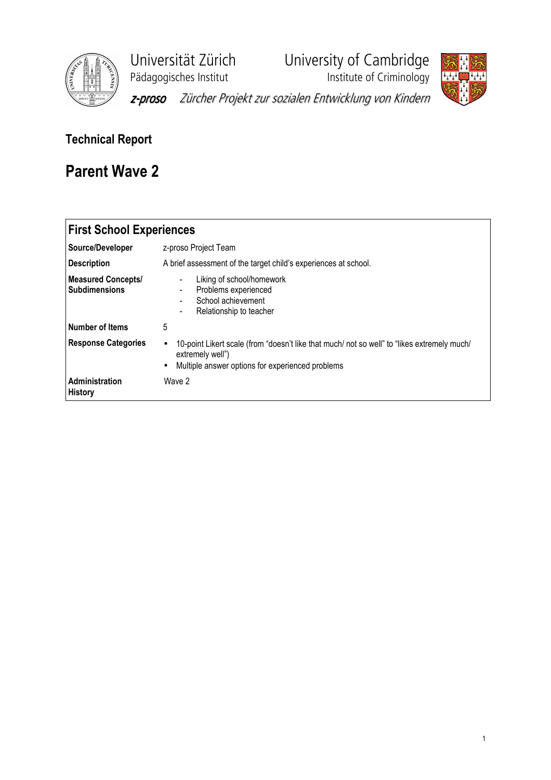

Universität Zürich University of Cambridge

Pädagogisches Institut **Institute institute of Criminology** 



z-proso Zürcher Projekt zur sozialen Entwicklung von Kindern

## Technical Report

## Parent Wave 2

| <b>First School Experiences</b>                   |                                                                                                                                                                                               |
|---------------------------------------------------|-----------------------------------------------------------------------------------------------------------------------------------------------------------------------------------------------|
| Source/Developer                                  | z-proso Project Team                                                                                                                                                                          |
| <b>Description</b>                                | A brief assessment of the target child's experiences at school.                                                                                                                               |
| <b>Measured Concepts/</b><br><b>Subdimensions</b> | Liking of school/homework<br>$\blacksquare$<br>Problems experienced<br>-<br>School achievement<br>۰<br>Relationship to teacher<br>-                                                           |
| l Number of Items                                 | 5                                                                                                                                                                                             |
| <b>Response Categories</b>                        | 10-point Likert scale (from "doesn't like that much/ not so well" to "likes extremely much/<br>$\bullet$<br>extremely well")<br>Multiple answer options for experienced problems<br>$\bullet$ |
| Administration<br><b>History</b>                  | Wave 2                                                                                                                                                                                        |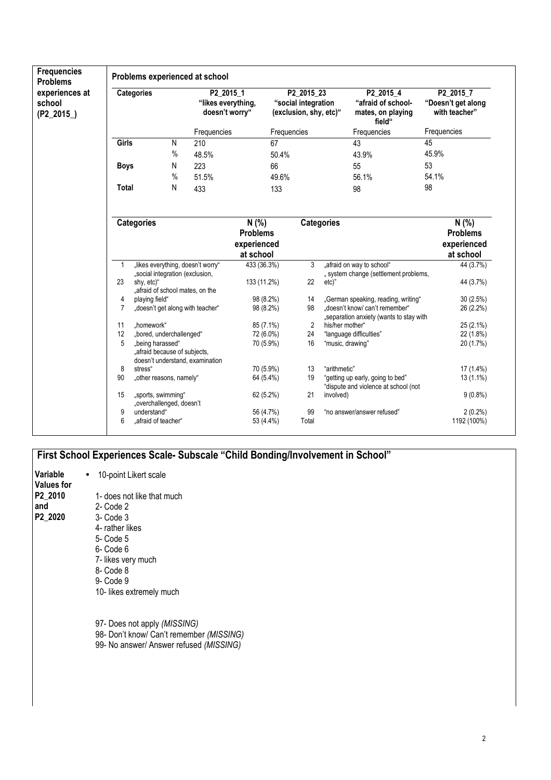| <b>Frequencies</b><br><b>Problems</b>   | Problems experienced at school |                                                                                     |                                                   |                                                      |                                                             |                   |                                                                          |       |                                                      |  |
|-----------------------------------------|--------------------------------|-------------------------------------------------------------------------------------|---------------------------------------------------|------------------------------------------------------|-------------------------------------------------------------|-------------------|--------------------------------------------------------------------------|-------|------------------------------------------------------|--|
| experiences at<br>school<br>$(P2_2015)$ | <b>Categories</b>              |                                                                                     | P2_2015_1<br>"likes everything,<br>doesn't worry" |                                                      | P2 2015 23<br>"social integration<br>(exclusion, shy, etc)" |                   | P2_2015_4<br>"afraid of school-<br>mates, on playing<br>field"           |       | P2 2015 7<br>"Doesn't get along<br>with teacher"     |  |
|                                         |                                |                                                                                     | Frequencies                                       |                                                      | Frequencies                                                 |                   | Frequencies                                                              |       | Frequencies                                          |  |
|                                         | Girls                          | N                                                                                   | 210                                               | 67                                                   |                                                             |                   | 43                                                                       | 45    |                                                      |  |
|                                         |                                | $\%$                                                                                | 48.5%                                             | 50.4%                                                |                                                             |                   | 43.9%                                                                    | 45.9% |                                                      |  |
|                                         | <b>Boys</b>                    | N                                                                                   | 223                                               | 66                                                   |                                                             |                   | 55                                                                       | 53    |                                                      |  |
|                                         |                                | $\%$                                                                                | 51.5%                                             | 49.6%                                                |                                                             |                   | 56.1%                                                                    | 54.1% |                                                      |  |
|                                         | <b>Total</b>                   | N                                                                                   | 433                                               | 133                                                  |                                                             |                   | 98                                                                       | 98    |                                                      |  |
|                                         |                                | <b>Categories</b>                                                                   |                                                   | N(% )<br><b>Problems</b><br>experienced<br>at school |                                                             | <b>Categories</b> |                                                                          |       | N(% )<br><b>Problems</b><br>experienced<br>at school |  |
|                                         | -1                             | "likes everything, doesn't worry"                                                   |                                                   | 433 (36.3%)                                          | 3                                                           |                   | "afraid on way to school"                                                |       | 44 (3.7%)                                            |  |
|                                         |                                | "social integration (exclusion,                                                     |                                                   |                                                      |                                                             |                   | " system change (settlement problems,                                    |       |                                                      |  |
|                                         | 23                             | shy, etc)"<br>"afraid of school mates, on the                                       |                                                   | 133 (11.2%)                                          | 22                                                          | $etc)$ "          |                                                                          |       | 44 (3.7%)                                            |  |
|                                         | 4                              | playing field"                                                                      |                                                   | 98 (8.2%)                                            | 14                                                          |                   | "German speaking, reading, writing"                                      |       | 30(2.5%)                                             |  |
|                                         | $\overline{7}$                 | "doesn't get along with teacher"                                                    |                                                   | 98 (8.2%)                                            | 98                                                          |                   | doesn't know/ can't remember"<br>"separation anxiety (wants to stay with |       | 26 (2.2%)                                            |  |
|                                         | 11                             | homework"                                                                           |                                                   | 85 (7.1%)                                            | 2                                                           | his/her mother"   |                                                                          |       | 25 (2.1%)                                            |  |
|                                         | 12                             | "bored, underchallenged"                                                            |                                                   | 72 (6.0%)                                            | 24                                                          |                   | "language difficulties"                                                  |       | 22 (1.8%)                                            |  |
|                                         | 5                              | "being harassed"<br>"afraid because of subjects,<br>doesn't understand, examination |                                                   | 70 (5.9%)                                            | 16                                                          | "music, drawing"  |                                                                          |       | 20 (1.7%)                                            |  |
|                                         | 8                              | stress"                                                                             |                                                   | 70 (5.9%)                                            | 13                                                          | "arithmetic"      |                                                                          |       | 17 (1.4%)                                            |  |
|                                         | 90                             | "other reasons, namely"                                                             |                                                   | 64 (5.4%)                                            | 19                                                          |                   | "getting up early, going to bed"<br>"dispute and violence at school (not |       | 13 (1.1%)                                            |  |
|                                         | 15                             | "sports, swimming"<br>"overchallenged, doesn't                                      |                                                   | 62 (5.2%)                                            | 21                                                          | involved)         |                                                                          |       | $9(0.8\%)$                                           |  |
|                                         | 9                              | understand"                                                                         |                                                   | 56 (4.7%)                                            | 99                                                          |                   | "no answer/answer refused"                                               |       | $2(0.2\%)$                                           |  |
|                                         | 6                              | "afraid of teacher"                                                                 |                                                   | 53 (4.4%)                                            | Total                                                       |                   |                                                                          |       | 1192 (100%)                                          |  |

## First School Experiences Scale- Subscale "Child Bonding/Involvement in School"

| Variable<br>Values for    | 10-point Likert scale                                                                                                                                                         |
|---------------------------|-------------------------------------------------------------------------------------------------------------------------------------------------------------------------------|
| P2 2010<br>and<br>P2_2020 | 1- does not like that much<br>2- Code 2<br>3- Code 3<br>4- rather likes<br>5- Code 5<br>6- Code 6<br>7- likes very much<br>8- Code 8<br>9- Code 9<br>10- likes extremely much |
|                           | 97- Does not apply (MISSING)<br>00 $D_{22}$ $\mu$ $\mu$ $\alpha$ $\mu$ $\beta$ $\alpha$ $\mu$ $\mu$ $\alpha$ $\alpha$ $\alpha$ $\beta$ $\alpha$ $\beta$ $\beta$ $\beta$       |

98- Don't know/ Can't remember (MISSING)

99- No answer/ Answer refused (MISSING)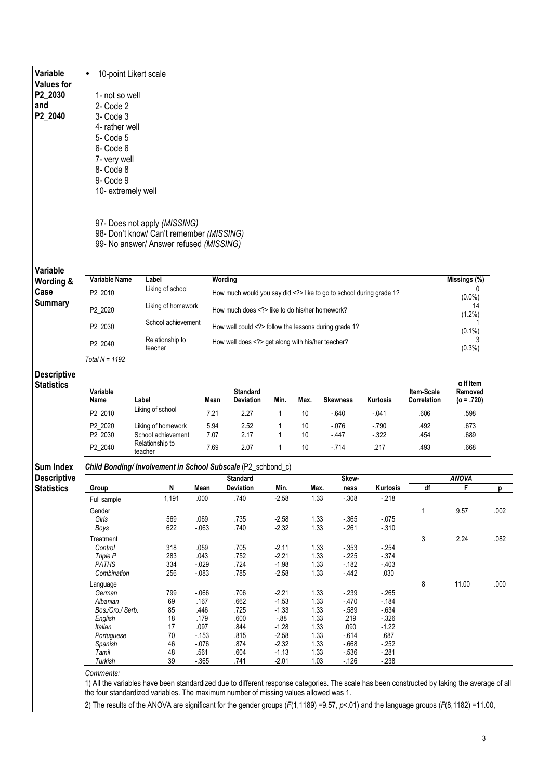Variable • 10-point Likert scale

Values for P2\_2030  $an\overline{d}$ P2\_2040

 1- not so well 2- Code 2 3- Code 3 4- rather well 5- Code 5 6- Code 6 7- very well 8- Code 8 9- Code 9 10- extremely well

97- Does not apply (MISSING)

98- Don't know/ Can't remember (MISSING)

99- No answer/ Answer refused (MISSING)

| Wording &                               |                    | Variable Name<br>Label                                       |                  |                                                                 | Wording            |              |                  |                  |                           |                                                  |                           |
|-----------------------------------------|--------------------|--------------------------------------------------------------|------------------|-----------------------------------------------------------------|--------------------|--------------|------------------|------------------|---------------------------|--------------------------------------------------|---------------------------|
| Case                                    | P2_2010            | Liking of school                                             |                  | How much would you say did like to go to school during grade 1? |                    |              |                  |                  |                           | <sup>0</sup><br>$(0.0\%)$                        |                           |
| <b>Summary</b>                          | P2 2020            | Liking of homework                                           |                  | How much does like to do his/her homework?                      |                    |              |                  |                  |                           |                                                  |                           |
|                                         | P2_2030            | School achievement                                           |                  | How well could follow the lessons during grade 1?               |                    |              |                  |                  |                           | $(1.2\%)$<br>$(0.1\%)$                           |                           |
|                                         | P2_2040            | Relationship to<br>teacher                                   |                  | How well does get along with his/her teacher?                   |                    |              |                  |                  |                           |                                                  |                           |
|                                         | Total $N = 1192$   |                                                              |                  |                                                                 |                    |              |                  |                  |                           |                                                  |                           |
| <b>Descriptive</b>                      |                    |                                                              |                  |                                                                 |                    |              |                  |                  |                           |                                                  |                           |
| <b>Statistics</b>                       | Variable<br>Name   | Label                                                        | Mean             | <b>Standard</b><br>Deviation                                    | Min.               | Max.         | <b>Skewness</b>  | Kurtosis         | Item-Scale<br>Correlation | $\alpha$ If Item<br>Removed<br>$(\alpha = .720)$ |                           |
|                                         | P2_2010            | Liking of school                                             | 7.21             | 2.27                                                            | $\mathbf{1}$       | 10           | $-640$           | $-041$           | .606                      | .598                                             |                           |
|                                         | P2_2020<br>P2_2030 | Liking of homework<br>School achievement                     | 5.94<br>7.07     | 2.52<br>2.17                                                    | 1<br>$\mathbf{1}$  | 10<br>10     | $-076$<br>$-447$ | $-790$<br>$-322$ | .492<br>.454              | .673<br>.689                                     |                           |
|                                         | P2_2040            | Relationship to<br>teacher                                   | 7.69             | 2.07<br>.217<br>$\mathbf{1}$<br>10<br>$-714$                    |                    | .493         | .668             |                  |                           |                                                  |                           |
| Sum Index                               |                    | Child Bonding/ Involvement in School Subscale (P2_schbond_c) |                  |                                                                 |                    |              |                  |                  |                           |                                                  |                           |
|                                         |                    |                                                              |                  |                                                                 |                    |              |                  |                  |                           |                                                  |                           |
|                                         |                    |                                                              |                  | <b>Standard</b>                                                 |                    |              | Skew-            |                  |                           | <b>ANOVA</b>                                     |                           |
|                                         | Group              | N                                                            | Mean             | <b>Deviation</b>                                                | Min.               | Max.         | ness             | Kurtosis         | df                        | F                                                |                           |
|                                         | Full sample        | 1,191                                                        | .000             | .740                                                            | $-2.58$            | 1.33         | $-0.308$         | $-218$           |                           |                                                  |                           |
|                                         | Gender             |                                                              |                  |                                                                 |                    |              |                  |                  | 1                         | 9.57                                             |                           |
|                                         | Girls              | 569                                                          | .069             | .735                                                            | $-2.58$            | 1.33         | $-365$           | $-075$           |                           |                                                  |                           |
|                                         | Boys               | 622                                                          | $-063$           | .740                                                            | $-2.32$            | 1.33         | $-261$           | $-310$           |                           |                                                  |                           |
|                                         | Treatment          |                                                              |                  |                                                                 |                    |              |                  |                  | 3                         | 2.24                                             |                           |
|                                         | Control            | 318                                                          | .059             | .705                                                            | $-2.11$            | 1.33         | $-353$           | $-254$           |                           |                                                  |                           |
|                                         | Triple P           | 283                                                          | .043             | .752                                                            | $-2.21$            | 1.33         | $-225$           | $-374$           |                           |                                                  |                           |
|                                         | PATHS              | 334                                                          | $-029$           | .724                                                            | $-1.98$            | 1.33         | $-182$           | $-403$           |                           |                                                  |                           |
|                                         | Combination        | 256                                                          | $-083$           | .785                                                            | $-2.58$            | 1.33         | $-442$           | .030             |                           |                                                  |                           |
|                                         | Language           |                                                              |                  |                                                                 |                    |              |                  |                  | 8                         | 11.00                                            |                           |
|                                         | German             | 799                                                          | $-066$           | .706                                                            | $-2.21$            | 1.33         | $-239$           | $-265$           |                           |                                                  |                           |
|                                         | Albanian           | 69                                                           | .167             | .662                                                            | $-1.53$            | 1.33         | $-470$           | $-184$           |                           |                                                  |                           |
|                                         | Bos./Cro./ Serb.   | 85                                                           | .446             | .725                                                            | $-1.33$            | 1.33         | $-589$           | $-634$           |                           |                                                  |                           |
|                                         | English            | 18                                                           | .179             | .600                                                            | $-0.88$            | 1.33         | .219             | $-326$           |                           |                                                  |                           |
|                                         | Italian            | 17                                                           | .097             | .844                                                            | $-1.28$            | 1.33         | .090             | $-1.22$          |                           |                                                  | p<br>.002<br>.082<br>.000 |
|                                         | Portuguese         | 70                                                           | $-153$           | .815                                                            | $-2.58$            | 1.33         | $-614$           | .687             |                           |                                                  |                           |
| <b>Descriptive</b><br><b>Statistics</b> | Spanish<br>Tamil   | 46<br>48                                                     | $-0.076$<br>.561 | .874<br>.604                                                    | $-2.32$<br>$-1.13$ | 1.33<br>1.33 | $-668$<br>$-536$ | $-252$<br>$-281$ |                           |                                                  |                           |

Comments:

1) All the variables have been standardized due to different response categories. The scale has been constructed by taking the average of all the four standardized variables. The maximum number of missing values allowed was 1.

2) The results of the ANOVA are significant for the gender groups ( $F(1,1189)$  =9.57,  $p<0.01$ ) and the language groups ( $F(8,1182)$  =11.00,